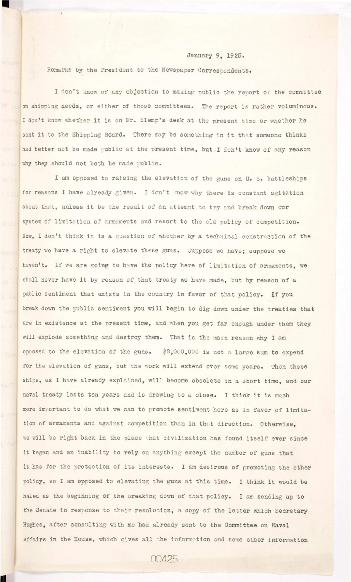## **January 9, 1925.**

**Remarks by the President to the Newspaper Correspondents.** 

**I don't know of any objection to making public the report of the committee**  on shipping needs, or either of those committees. The report is rather voluminous. I don't know whether it is on Mr. Slemp's desk at the present time or whether he sent it to the Shipping Board. There may be something in it that someone thinks **had better not be made public at the present time, but I don't know of any reason why they should not both be made public.** 

I am opposed to raising the elevation of the guns on U. S. battleships for reasons I have already given. I don't know why there is constant agitation about that, unless it be the result of an attempt to try and break down our system of limitation of armaments and resort to the old policy of competition. Now, I don't think it is a question of whether by a technical construction of the **treaty we have a right to elevate these guns. Suppose we have; suppose we**  haven't. If we are going to have the policy here of limitation of armaments, we shall never have it by reason of that treaty we have made, but by reason of a public sentiment that exists in the country in favor of that policy. If you break down the public sentiment you will begin to dig down under the treaties that are in existence at the present time, and when you get far enough under them they will explode something and destroy them. That is the main reason why I am **opposed to the elevation of the guns.** \$8,000,000 is not a large sum to expend for the elevation of guns, but the work will extend over some years. Then these ships, as I have already explained, will become obsolete in a short time, and our naval treaty lasts ten years and is drawing to a close. I think it is much more important to do what we can to promote sentiment here as in favor of limitation of armaments and against competition than in that direction. Otherwise, we will be right back in the place that civilization has found itself ever since it began and an inability to rely on anything except the number of guns that it has for the protection of its interests. I am desirous of promoting the other policy, so I am opposed to elevating the guns at this time. I think it would be **haled as the beginning of the breaking down of that policy . I am sending up to**  the Senate in response to their resolution, a copy of the letter which Secretary **Hughes, after consulting with me had already sent to the Committee on Naval**  Affairs in the House, which gives all the information and some other information

00425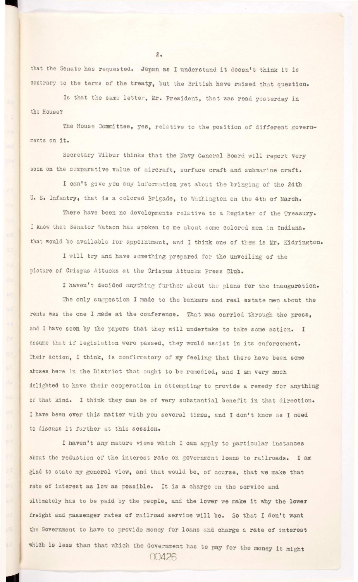that the Senate has requested. Japan as I understand it doesn't think it is contrary to the terms of the treaty, but the British have raised that question.

Is that the same letter, Mr. President, that was read yesterday in **the House?** 

The House Committee, yes, relative to the position of different govern**ments on i t .** 

Secretary Wilbur thinks that the Navy General Board will report very soon on the comparative value of aircraft, surface craft and submarine craft.

**I can't give you any information yet about the bringing of the 24th**  U. S. Infantry, that is a colored Brigade, to Washington on the 4th of March.

There have been no developments relative to a Register of the Treasury. I know that Senator Watson has spoken to me about some colored men in Indiana. **that would be available for appointment, and I think one of them is Mr. Kidrington.** 

I will try and have something prepared for the unveiling of the **picture of Crispus Attuoks at the Crispus Attuoks Press Club.** 

**I haven't decided anything further about the plans for the inauguration.** 

The only suggestion I made to the bankers and real estate men about the **rents was the one I made at the conference. That was carried through the press,**  and I have seen by the papers that they will undertake to take some action. I assume that if legislation were passed, they would assist in its enforcement. Their action, I think, is confirmatory of my feeling that there have been some abuses here in the District that ought to be remedied, and I am very much delighted to have their cooperation in attempting to provide a remedy for anything of that kind. I think they can be of very substantial benefit in that direction. **I have been over this matter with you several times, and I don't know as I need**  to discuss it further at this session.

 $2.$ 

I haven't any mature views which I can apply to particular instances

about the reduction of the interest rate on government loans to railroads. I am **glad to state my general view, and that would be, of course, that we make that**  rate of interest as low as possible. It is a charge on the service and ultimately has to be paid by the people, and the lower we make it why the lower freight and passenger rates of railroad service will be. So that I don't want **the Government to have to provide money for loans and charge a rate of interest**  which is less than that which the Government has to pay for the money it might **00426**